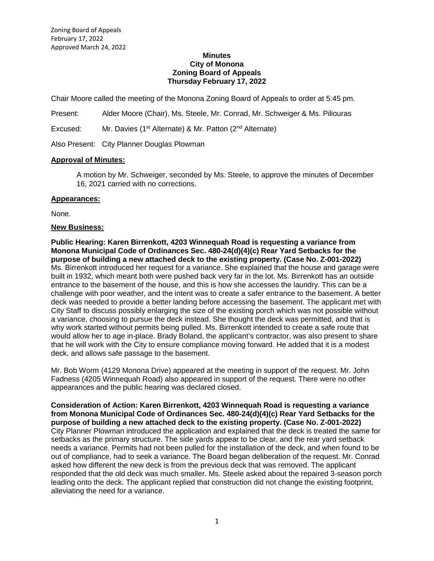#### **Minutes City of Monona Zoning Board of Appeals Thursday February 17, 2022**

Chair Moore called the meeting of the Monona Zoning Board of Appeals to order at 5:45 pm.

Present: Alder Moore (Chair), Ms. Steele, Mr. Conrad, Mr. Schweiger & Ms. Piliouras

Excused: Mr. Davies (1<sup>st</sup> Alternate) & Mr. Patton (2<sup>nd</sup> Alternate)

Also Present: City Planner Douglas Plowman

## **Approval of Minutes:**

A motion by Mr. Schweiger, seconded by Ms. Steele, to approve the minutes of December 16, 2021 carried with no corrections.

#### **Appearances:**

None.

## **New Business:**

**Public Hearing: Karen Birrenkott, 4203 Winnequah Road is requesting a variance from Monona Municipal Code of Ordinances Sec. 480-24(d)(4)(c) Rear Yard Setbacks for the purpose of building a new attached deck to the existing property. (Case No. Z-001-2022)** Ms. Birrenkott introduced her request for a variance. She explained that the house and garage were built in 1932, which meant both were pushed back very far in the lot. Ms. Birrenkott has an outside entrance to the basement of the house, and this is how she accesses the laundry. This can be a challenge with poor weather, and the intent was to create a safer entrance to the basement. A better deck was needed to provide a better landing before accessing the basement. The applicant met with City Staff to discuss possibly enlarging the size of the existing porch which was not possible without a variance, choosing to pursue the deck instead. She thought the deck was permitted, and that is why work started without permits being pulled. Ms. Birrenkott intended to create a safe route that would allow her to age in-place. Brady Boland, the applicant's contractor, was also present to share that he will work with the City to ensure compliance moving forward. He added that it is a modest deck, and allows safe passage to the basement.

Mr. Bob Worm (4129 Monona Drive) appeared at the meeting in support of the request. Mr. John Fadness (4205 Winnequah Road) also appeared in support of the request. There were no other appearances and the public hearing was declared closed.

**Consideration of Action: Karen Birrenkott, 4203 Winnequah Road is requesting a variance from Monona Municipal Code of Ordinances Sec. 480-24(d)(4)(c) Rear Yard Setbacks for the purpose of building a new attached deck to the existing property. (Case No. Z-001-2022)** City Planner Plowman introduced the application and explained that the deck is treated the same for setbacks as the primary structure. The side yards appear to be clear, and the rear yard setback needs a variance. Permits had not been pulled for the installation of the deck, and when found to be out of compliance, had to seek a variance. The Board began deliberation of the request. Mr. Conrad asked how different the new deck is from the previous deck that was removed. The applicant responded that the old deck was much smaller. Ms. Steele asked about the repaired 3-season porch leading onto the deck. The applicant replied that construction did not change the existing footprint, alleviating the need for a variance.